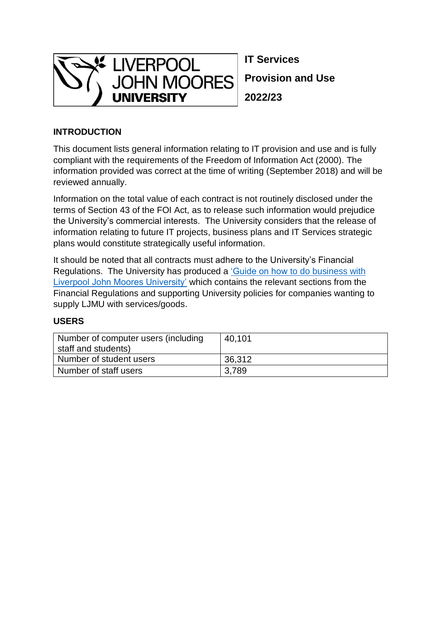

**IT Services Provision and Use 2022/23**

## **INTRODUCTION**

This document lists general information relating to IT provision and use and is fully compliant with the requirements of the Freedom of Information Act (2000). The information provided was correct at the time of writing (September 2018) and will be reviewed annually.

Information on the total value of each contract is not routinely disclosed under the terms of Section 43 of the FOI Act, as to release such information would prejudice the University's commercial interests. The University considers that the release of information relating to future IT projects, business plans and IT Services strategic plans would constitute strategically useful information.

It should be noted that all contracts must adhere to the University's Financial Regulations. The University has produced a ['Guide on how to do business with](https://www.ljmu.ac.uk/~/media/files/ljmu/public-information-documents/financial-information/finance-strategy-policy-and-guidance/how-to-do-business-with-the-university--version-5-april-15-bm.pdf?la=en)  [Liverpool John Moores University'](https://www.ljmu.ac.uk/~/media/files/ljmu/public-information-documents/financial-information/finance-strategy-policy-and-guidance/how-to-do-business-with-the-university--version-5-april-15-bm.pdf?la=en) which contains the relevant sections from the Financial Regulations and supporting University policies for companies wanting to supply LJMU with services/goods.

### **USERS**

| Number of computer users (including<br>staff and students) | 40,101 |
|------------------------------------------------------------|--------|
| Number of student users                                    | 36,312 |
| Number of staff users                                      | 3,789  |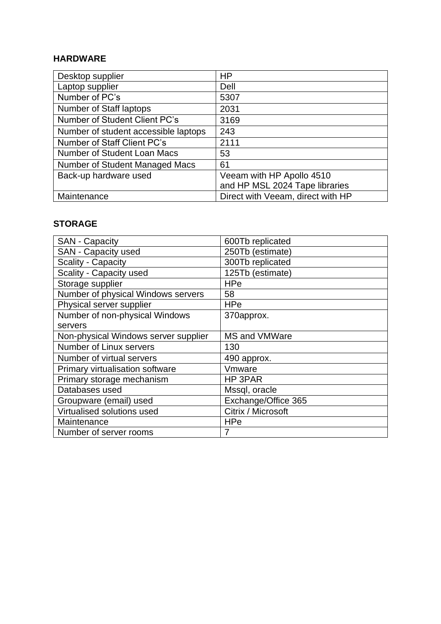### **HARDWARE**

| Desktop supplier                     | HP                                |
|--------------------------------------|-----------------------------------|
| Laptop supplier                      | Dell                              |
| Number of PC's                       | 5307                              |
| Number of Staff laptops              | 2031                              |
| <b>Number of Student Client PC's</b> | 3169                              |
| Number of student accessible laptops | 243                               |
| Number of Staff Client PC's          | 2111                              |
| Number of Student Loan Macs          | 53                                |
| Number of Student Managed Macs       | 61                                |
| Back-up hardware used                | Veeam with HP Apollo 4510         |
|                                      | and HP MSL 2024 Tape libraries    |
| Maintenance                          | Direct with Veeam, direct with HP |

### **STORAGE**

| <b>SAN - Capacity</b>                | 600Tb replicated     |
|--------------------------------------|----------------------|
| SAN - Capacity used                  | 250Tb (estimate)     |
| Scality - Capacity                   | 300Tb replicated     |
| Scality - Capacity used              | 125Tb (estimate)     |
| Storage supplier                     | <b>HPe</b>           |
| Number of physical Windows servers   | 58                   |
| Physical server supplier             | HPe                  |
| Number of non-physical Windows       | 370approx.           |
| servers                              |                      |
| Non-physical Windows server supplier | <b>MS and VMWare</b> |
| Number of Linux servers              | 130                  |
| Number of virtual servers            | 490 approx.          |
| Primary virtualisation software      | Vmware               |
| Primary storage mechanism            | HP 3PAR              |
| Databases used                       | Mssql, oracle        |
| Groupware (email) used               | Exchange/Office 365  |
| Virtualised solutions used           | Citrix / Microsoft   |
| Maintenance                          | <b>HPe</b>           |
| Number of server rooms               | 7                    |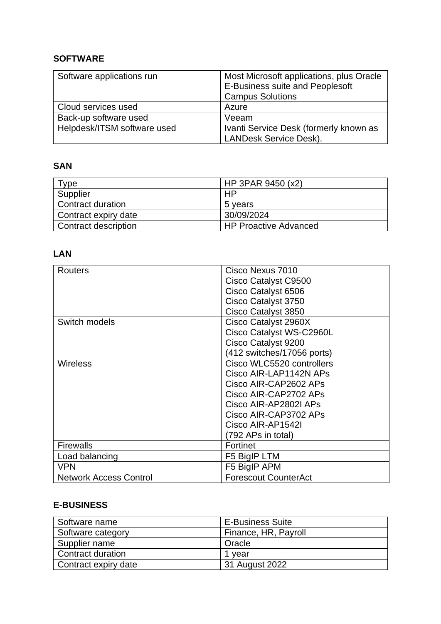## **SOFTWARE**

| Software applications run   | Most Microsoft applications, plus Oracle |
|-----------------------------|------------------------------------------|
|                             | E-Business suite and Peoplesoft          |
|                             | <b>Campus Solutions</b>                  |
| Cloud services used         | Azure                                    |
| Back-up software used       | Veeam                                    |
| Helpdesk/ITSM software used | Ivanti Service Desk (formerly known as   |
|                             | <b>LANDesk Service Desk).</b>            |

## **SAN**

| Type                 | HP 3PAR 9450 (x2)            |
|----------------------|------------------------------|
| Supplier             | HP                           |
| Contract duration    | 5 years                      |
| Contract expiry date | 30/09/2024                   |
| Contract description | <b>HP Proactive Advanced</b> |

## **LAN**

| <b>Routers</b>                | Cisco Nexus 7010            |
|-------------------------------|-----------------------------|
|                               | Cisco Catalyst C9500        |
|                               | Cisco Catalyst 6506         |
|                               | Cisco Catalyst 3750         |
|                               | Cisco Catalyst 3850         |
| Switch models                 | Cisco Catalyst 2960X        |
|                               | Cisco Catalyst WS-C2960L    |
|                               | Cisco Catalyst 9200         |
|                               | (412 switches/17056 ports)  |
| <b>Wireless</b>               | Cisco WLC5520 controllers   |
|                               | Cisco AIR-LAP1142N APS      |
|                               | Cisco AIR-CAP2602 APs       |
|                               | Cisco AIR-CAP2702 APs       |
|                               | Cisco AIR-AP2802I APS       |
|                               | Cisco AIR-CAP3702 APs       |
|                               | Cisco AIR-AP1542I           |
|                               | (792 APs in total)          |
| <b>Firewalls</b>              | Fortinet                    |
| Load balancing                | F5 BigIP LTM                |
| <b>VPN</b>                    | F5 BigIP APM                |
| <b>Network Access Control</b> | <b>Forescout CounterAct</b> |

## **E-BUSINESS**

| Software name        | <b>E-Business Suite</b> |
|----------------------|-------------------------|
| Software category    | Finance, HR, Payroll    |
| Supplier name        | Oracle                  |
| Contract duration    | 1 vear                  |
| Contract expiry date | 31 August 2022          |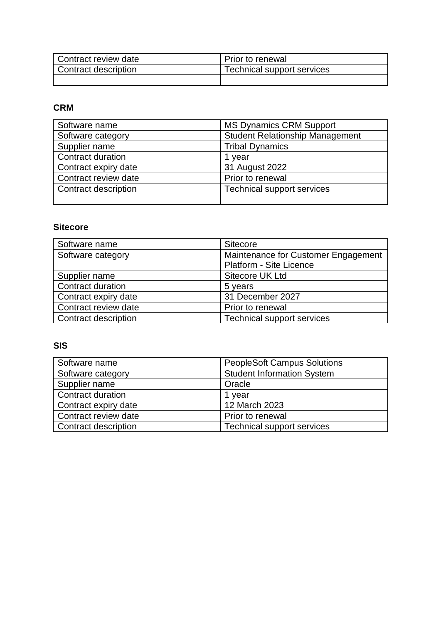| Contract review date              | Prior to renewal           |
|-----------------------------------|----------------------------|
| <sup>1</sup> Contract description | Technical support services |
|                                   |                            |

## **CRM**

| Software name        | <b>MS Dynamics CRM Support</b>         |
|----------------------|----------------------------------------|
| Software category    | <b>Student Relationship Management</b> |
| Supplier name        | <b>Tribal Dynamics</b>                 |
| Contract duration    | 1 vear                                 |
| Contract expiry date | 31 August 2022                         |
| Contract review date | Prior to renewal                       |
| Contract description | <b>Technical support services</b>      |
|                      |                                        |

## **Sitecore**

| Software name        | Sitecore                            |
|----------------------|-------------------------------------|
| Software category    | Maintenance for Customer Engagement |
|                      | Platform - Site Licence             |
| Supplier name        | Sitecore UK Ltd                     |
| Contract duration    | 5 years                             |
| Contract expiry date | 31 December 2027                    |
| Contract review date | Prior to renewal                    |
| Contract description | <b>Technical support services</b>   |

### **SIS**

| Software name               | <b>PeopleSoft Campus Solutions</b> |
|-----------------------------|------------------------------------|
| Software category           | <b>Student Information System</b>  |
| Supplier name               | Oracle                             |
| Contract duration           | 1 year                             |
| Contract expiry date        | 12 March 2023                      |
| Contract review date        | Prior to renewal                   |
| <b>Contract description</b> | Technical support services         |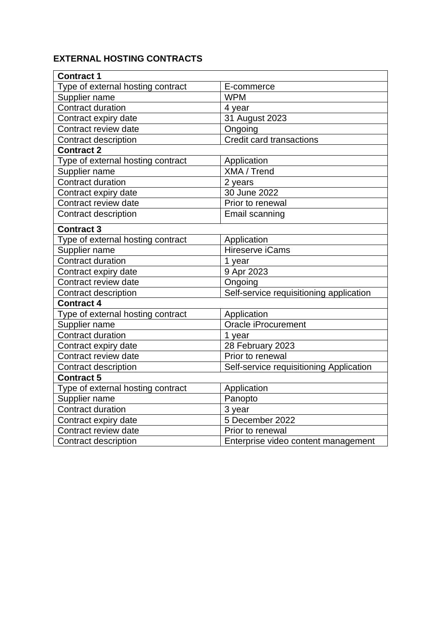# **EXTERNAL HOSTING CONTRACTS**

| <b>Contract 1</b>                 |                                         |
|-----------------------------------|-----------------------------------------|
| Type of external hosting contract | E-commerce                              |
| Supplier name                     | <b>WPM</b>                              |
| <b>Contract duration</b>          | 4 year                                  |
| Contract expiry date              | 31 August 2023                          |
| Contract review date              | Ongoing                                 |
| Contract description              | <b>Credit card transactions</b>         |
| <b>Contract 2</b>                 |                                         |
| Type of external hosting contract | Application                             |
| Supplier name                     | XMA / Trend                             |
| Contract duration                 | 2 years                                 |
| Contract expiry date              | 30 June 2022                            |
| Contract review date              | Prior to renewal                        |
| Contract description              | Email scanning                          |
| <b>Contract 3</b>                 |                                         |
| Type of external hosting contract | Application                             |
| Supplier name                     | Hireserve iCams                         |
| <b>Contract duration</b>          | 1 year                                  |
| Contract expiry date              | 9 Apr 2023                              |
| Contract review date              | Ongoing                                 |
| Contract description              | Self-service requisitioning application |
| <b>Contract 4</b>                 |                                         |
| Type of external hosting contract | Application                             |
| Supplier name                     | Oracle iProcurement                     |
| <b>Contract duration</b>          | 1 year                                  |
| Contract expiry date              | 28 February 2023                        |
| Contract review date              | Prior to renewal                        |
| Contract description              | Self-service requisitioning Application |
| <b>Contract 5</b>                 |                                         |
| Type of external hosting contract | Application                             |
| Supplier name                     | Panopto                                 |
| <b>Contract duration</b>          | 3 year                                  |
| Contract expiry date              | 5 December 2022                         |
| Contract review date              | Prior to renewal                        |
| <b>Contract description</b>       | Enterprise video content management     |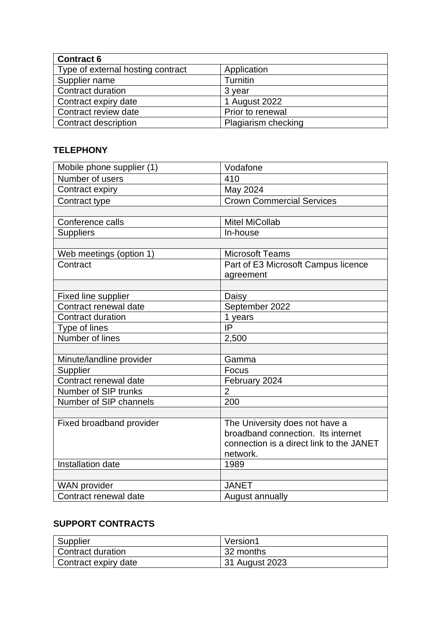| <b>Contract 6</b>                 |                     |  |
|-----------------------------------|---------------------|--|
| Type of external hosting contract | Application         |  |
| Supplier name                     | Turnitin            |  |
| <b>Contract duration</b>          | 3 year              |  |
| Contract expiry date              | 1 August 2022       |  |
| Contract review date              | Prior to renewal    |  |
| Contract description              | Plagiarism checking |  |

## **TELEPHONY**

| Mobile phone supplier (1)   | Vodafone                                 |
|-----------------------------|------------------------------------------|
| Number of users             | 410                                      |
| Contract expiry             | May 2024                                 |
| Contract type               | <b>Crown Commercial Services</b>         |
|                             |                                          |
| Conference calls            | <b>Mitel MiCollab</b>                    |
| <b>Suppliers</b>            | In-house                                 |
|                             |                                          |
| Web meetings (option 1)     | <b>Microsoft Teams</b>                   |
| Contract                    | Part of E3 Microsoft Campus licence      |
|                             | agreement                                |
|                             |                                          |
| <b>Fixed line supplier</b>  | Daisy                                    |
| Contract renewal date       | September 2022                           |
| <b>Contract duration</b>    | 1 years                                  |
| Type of lines               | IP                                       |
| Number of lines             | 2,500                                    |
|                             |                                          |
| Minute/landline provider    | Gamma                                    |
| Supplier                    | Focus                                    |
| Contract renewal date       | February 2024                            |
| <b>Number of SIP trunks</b> | $\overline{2}$                           |
| Number of SIP channels      | 200                                      |
|                             |                                          |
| Fixed broadband provider    | The University does not have a           |
|                             | broadband connection. Its internet       |
|                             | connection is a direct link to the JANET |
|                             | network.                                 |
| Installation date           | 1989                                     |
|                             |                                          |
| <b>WAN</b> provider         | <b>JANET</b>                             |
| Contract renewal date       | August annually                          |

## **SUPPORT CONTRACTS**

| Supplier             | Version1       |
|----------------------|----------------|
| Contract duration    | 32 months      |
| Contract expiry date | 31 August 2023 |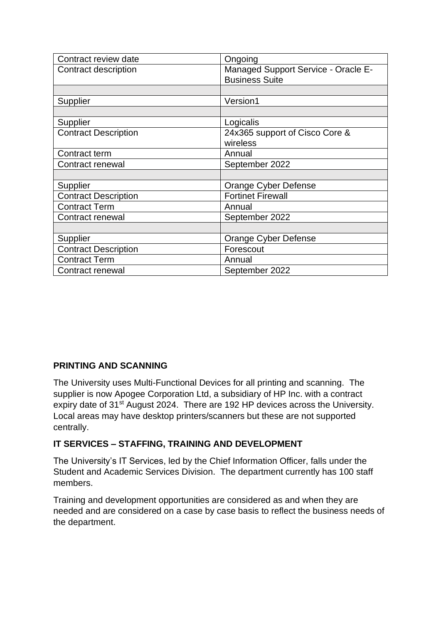| Contract review date        | Ongoing                                                      |
|-----------------------------|--------------------------------------------------------------|
| Contract description        | Managed Support Service - Oracle E-<br><b>Business Suite</b> |
|                             |                                                              |
| Supplier                    | Version1                                                     |
|                             |                                                              |
| Supplier                    | Logicalis                                                    |
| <b>Contract Description</b> | 24x365 support of Cisco Core &                               |
|                             | wireless                                                     |
| Contract term               | Annual                                                       |
| Contract renewal            | September 2022                                               |
|                             |                                                              |
| Supplier                    | Orange Cyber Defense                                         |
| <b>Contract Description</b> | <b>Fortinet Firewall</b>                                     |
| <b>Contract Term</b>        | Annual                                                       |
| Contract renewal            | September 2022                                               |
|                             |                                                              |
| Supplier                    | <b>Orange Cyber Defense</b>                                  |
| <b>Contract Description</b> | Forescout                                                    |
| <b>Contract Term</b>        | Annual                                                       |
| Contract renewal            | September 2022                                               |

### **PRINTING AND SCANNING**

The University uses Multi-Functional Devices for all printing and scanning. The supplier is now Apogee Corporation Ltd, a subsidiary of HP Inc. with a contract expiry date of 31<sup>st</sup> August 2024. There are 192 HP devices across the University. Local areas may have desktop printers/scanners but these are not supported centrally.

### **IT SERVICES – STAFFING, TRAINING AND DEVELOPMENT**

The University's IT Services, led by the Chief Information Officer, falls under the Student and Academic Services Division. The department currently has 100 staff members.

Training and development opportunities are considered as and when they are needed and are considered on a case by case basis to reflect the business needs of the department.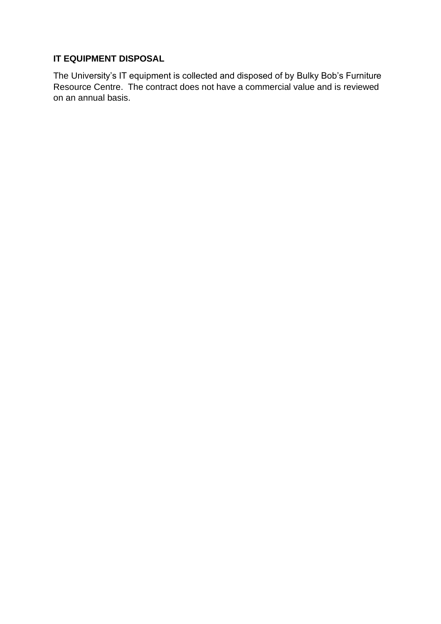## **IT EQUIPMENT DISPOSAL**

The University's IT equipment is collected and disposed of by Bulky Bob's Furniture Resource Centre. The contract does not have a commercial value and is reviewed on an annual basis.